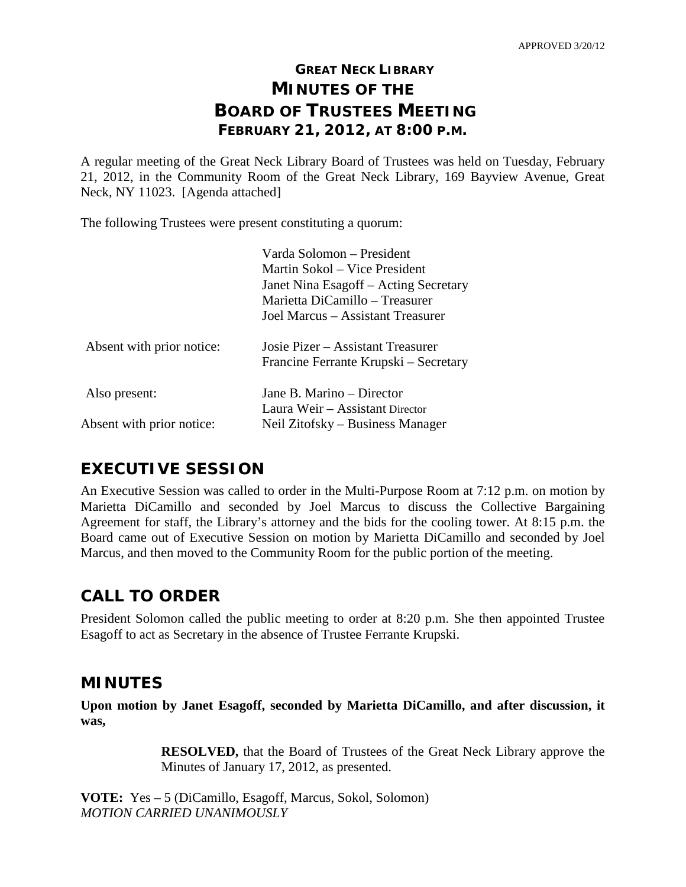# **GREAT NECK LIBRARY MINUTES OF THE BOARD OF TRUSTEES MEETING FEBRUARY 21, 2012, AT 8:00 P.M.**

A regular meeting of the Great Neck Library Board of Trustees was held on Tuesday, February 21, 2012, in the Community Room of the Great Neck Library, 169 Bayview Avenue, Great Neck, NY 11023. [Agenda attached]

The following Trustees were present constituting a quorum:

|                           | Varda Solomon – President<br>Martin Sokol – Vice President<br>Janet Nina Esagoff – Acting Secretary<br>Marietta DiCamillo – Treasurer<br>Joel Marcus - Assistant Treasurer |  |
|---------------------------|----------------------------------------------------------------------------------------------------------------------------------------------------------------------------|--|
| Absent with prior notice: | Josie Pizer – Assistant Treasurer<br>Francine Ferrante Krupski – Secretary                                                                                                 |  |
| Also present:             | Jane B. Marino – Director<br>Laura Weir – Assistant Director                                                                                                               |  |
| Absent with prior notice: | Neil Zitofsky – Business Manager                                                                                                                                           |  |

# **EXECUTIVE SESSION**

An Executive Session was called to order in the Multi-Purpose Room at 7:12 p.m. on motion by Marietta DiCamillo and seconded by Joel Marcus to discuss the Collective Bargaining Agreement for staff, the Library's attorney and the bids for the cooling tower. At 8:15 p.m. the Board came out of Executive Session on motion by Marietta DiCamillo and seconded by Joel Marcus, and then moved to the Community Room for the public portion of the meeting.

# **CALL TO ORDER**

President Solomon called the public meeting to order at 8:20 p.m. She then appointed Trustee Esagoff to act as Secretary in the absence of Trustee Ferrante Krupski.

## **MINUTES**

**Upon motion by Janet Esagoff, seconded by Marietta DiCamillo, and after discussion, it was,**

> **RESOLVED,** that the Board of Trustees of the Great Neck Library approve the Minutes of January 17, 2012, as presented.

**VOTE:** Yes – 5 (DiCamillo, Esagoff, Marcus, Sokol, Solomon) *MOTION CARRIED UNANIMOUSLY*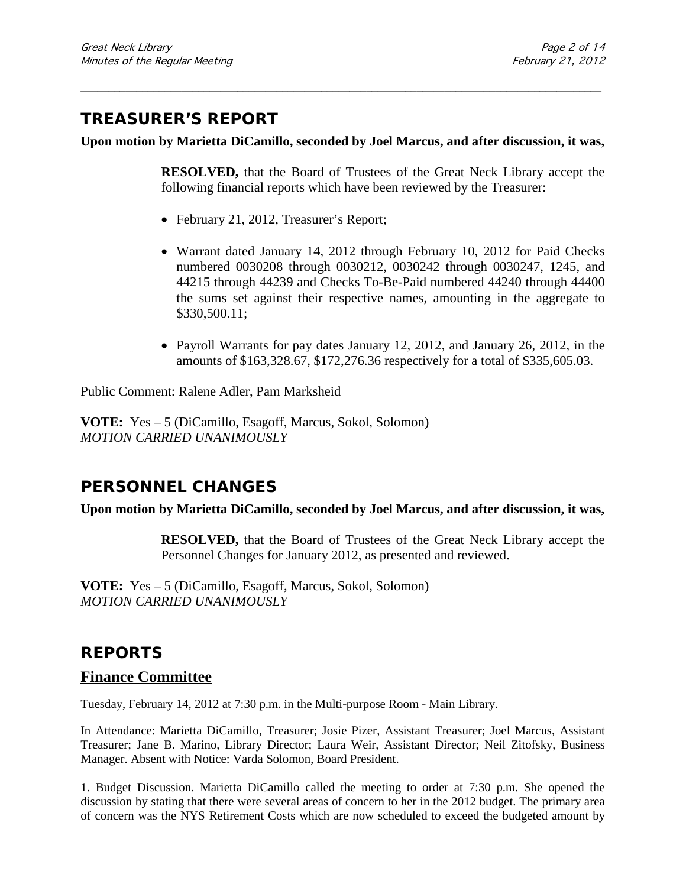## **TREASURER'S REPORT**

#### **Upon motion by Marietta DiCamillo, seconded by Joel Marcus, and after discussion, it was,**

\_\_\_\_\_\_\_\_\_\_\_\_\_\_\_\_\_\_\_\_\_\_\_\_\_\_\_\_\_\_\_\_\_\_\_\_\_\_\_\_\_\_\_\_\_\_\_\_\_\_\_\_\_\_\_\_\_\_\_\_\_\_\_\_\_\_\_\_\_\_\_\_\_\_\_\_\_\_\_\_\_\_\_\_\_\_\_\_\_\_\_\_\_

**RESOLVED,** that the Board of Trustees of the Great Neck Library accept the following financial reports which have been reviewed by the Treasurer:

- February 21, 2012, Treasurer's Report;
- Warrant dated January 14, 2012 through February 10, 2012 for Paid Checks numbered 0030208 through 0030212, 0030242 through 0030247, 1245, and 44215 through 44239 and Checks To-Be-Paid numbered 44240 through 44400 the sums set against their respective names, amounting in the aggregate to \$330,500.11;
- Payroll Warrants for pay dates January 12, 2012, and January 26, 2012, in the amounts of \$163,328.67, \$172,276.36 respectively for a total of \$335,605.03.

Public Comment: Ralene Adler, Pam Marksheid

**VOTE:** Yes – 5 (DiCamillo, Esagoff, Marcus, Sokol, Solomon) *MOTION CARRIED UNANIMOUSLY*

## **PERSONNEL CHANGES**

#### **Upon motion by Marietta DiCamillo, seconded by Joel Marcus, and after discussion, it was,**

**RESOLVED,** that the Board of Trustees of the Great Neck Library accept the Personnel Changes for January 2012, as presented and reviewed.

**VOTE:** Yes – 5 (DiCamillo, Esagoff, Marcus, Sokol, Solomon) *MOTION CARRIED UNANIMOUSLY*

## **REPORTS**

#### **Finance Committee**

Tuesday, February 14, 2012 at 7:30 p.m. in the Multi-purpose Room - Main Library.

In Attendance: Marietta DiCamillo, Treasurer; Josie Pizer, Assistant Treasurer; Joel Marcus, Assistant Treasurer; Jane B. Marino, Library Director; Laura Weir, Assistant Director; Neil Zitofsky, Business Manager. Absent with Notice: Varda Solomon, Board President.

1. Budget Discussion. Marietta DiCamillo called the meeting to order at 7:30 p.m. She opened the discussion by stating that there were several areas of concern to her in the 2012 budget. The primary area of concern was the NYS Retirement Costs which are now scheduled to exceed the budgeted amount by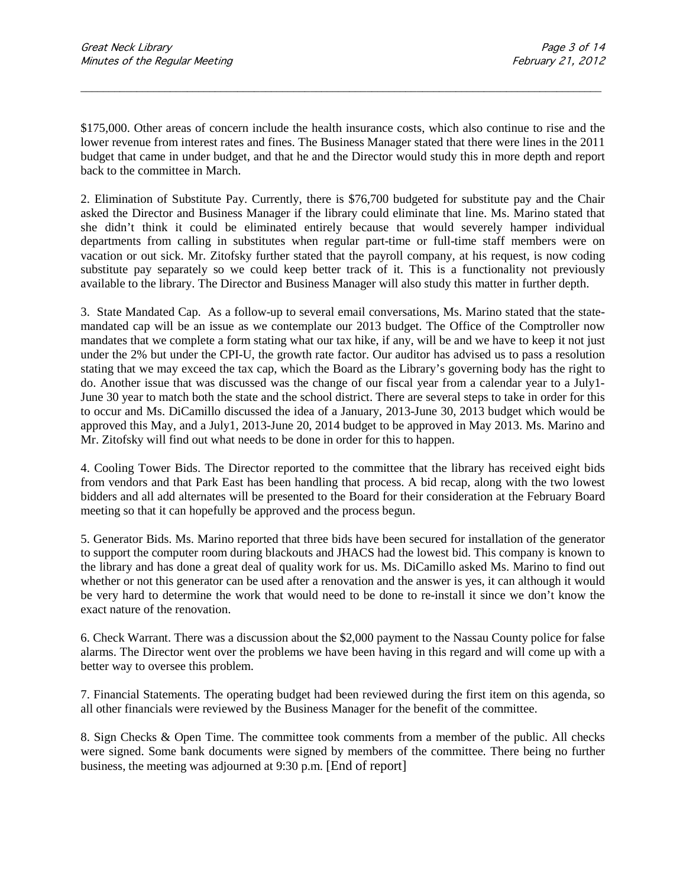\$175,000. Other areas of concern include the health insurance costs, which also continue to rise and the lower revenue from interest rates and fines. The Business Manager stated that there were lines in the 2011 budget that came in under budget, and that he and the Director would study this in more depth and report back to the committee in March.

\_\_\_\_\_\_\_\_\_\_\_\_\_\_\_\_\_\_\_\_\_\_\_\_\_\_\_\_\_\_\_\_\_\_\_\_\_\_\_\_\_\_\_\_\_\_\_\_\_\_\_\_\_\_\_\_\_\_\_\_\_\_\_\_\_\_\_\_\_\_\_\_\_\_\_\_\_\_\_\_\_\_\_\_\_\_\_\_\_\_\_\_\_

2. Elimination of Substitute Pay. Currently, there is \$76,700 budgeted for substitute pay and the Chair asked the Director and Business Manager if the library could eliminate that line. Ms. Marino stated that she didn't think it could be eliminated entirely because that would severely hamper individual departments from calling in substitutes when regular part-time or full-time staff members were on vacation or out sick. Mr. Zitofsky further stated that the payroll company, at his request, is now coding substitute pay separately so we could keep better track of it. This is a functionality not previously available to the library. The Director and Business Manager will also study this matter in further depth.

3. State Mandated Cap.As a follow-up to several email conversations, Ms. Marino stated that the statemandated cap will be an issue as we contemplate our 2013 budget. The Office of the Comptroller now mandates that we complete a form stating what our tax hike, if any, will be and we have to keep it not just under the 2% but under the CPI-U, the growth rate factor. Our auditor has advised us to pass a resolution stating that we may exceed the tax cap, which the Board as the Library's governing body has the right to do. Another issue that was discussed was the change of our fiscal year from a calendar year to a July1- June 30 year to match both the state and the school district. There are several steps to take in order for this to occur and Ms. DiCamillo discussed the idea of a January, 2013-June 30, 2013 budget which would be approved this May, and a July1, 2013-June 20, 2014 budget to be approved in May 2013. Ms. Marino and Mr. Zitofsky will find out what needs to be done in order for this to happen.

4. Cooling Tower Bids. The Director reported to the committee that the library has received eight bids from vendors and that Park East has been handling that process. A bid recap, along with the two lowest bidders and all add alternates will be presented to the Board for their consideration at the February Board meeting so that it can hopefully be approved and the process begun.

5. Generator Bids. Ms. Marino reported that three bids have been secured for installation of the generator to support the computer room during blackouts and JHACS had the lowest bid. This company is known to the library and has done a great deal of quality work for us. Ms. DiCamillo asked Ms. Marino to find out whether or not this generator can be used after a renovation and the answer is yes, it can although it would be very hard to determine the work that would need to be done to re-install it since we don't know the exact nature of the renovation.

6. Check Warrant. There was a discussion about the \$2,000 payment to the Nassau County police for false alarms. The Director went over the problems we have been having in this regard and will come up with a better way to oversee this problem.

7. Financial Statements. The operating budget had been reviewed during the first item on this agenda, so all other financials were reviewed by the Business Manager for the benefit of the committee.

8. Sign Checks & Open Time. The committee took comments from a member of the public. All checks were signed. Some bank documents were signed by members of the committee. There being no further business, the meeting was adjourned at 9:30 p.m. [End of report]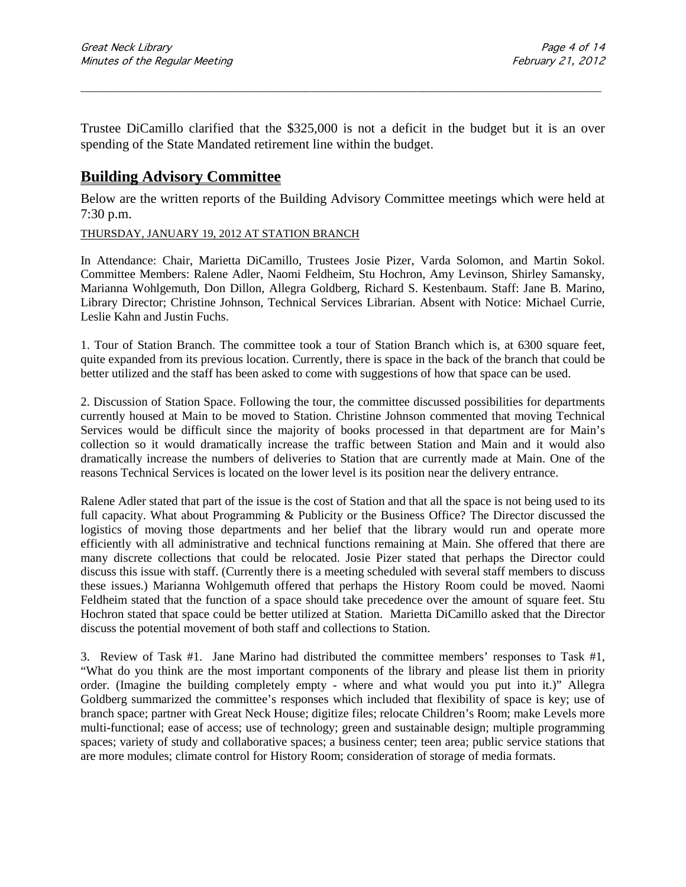Trustee DiCamillo clarified that the \$325,000 is not a deficit in the budget but it is an over spending of the State Mandated retirement line within the budget.

\_\_\_\_\_\_\_\_\_\_\_\_\_\_\_\_\_\_\_\_\_\_\_\_\_\_\_\_\_\_\_\_\_\_\_\_\_\_\_\_\_\_\_\_\_\_\_\_\_\_\_\_\_\_\_\_\_\_\_\_\_\_\_\_\_\_\_\_\_\_\_\_\_\_\_\_\_\_\_\_\_\_\_\_\_\_\_\_\_\_\_\_\_

### **Building Advisory Committee**

Below are the written reports of the Building Advisory Committee meetings which were held at 7:30 p.m.

#### THURSDAY, JANUARY 19, 2012 AT STATION BRANCH

In Attendance: Chair, Marietta DiCamillo, Trustees Josie Pizer, Varda Solomon, and Martin Sokol. Committee Members: Ralene Adler, Naomi Feldheim, Stu Hochron, Amy Levinson, Shirley Samansky, Marianna Wohlgemuth, Don Dillon, Allegra Goldberg, Richard S. Kestenbaum. Staff: Jane B. Marino, Library Director; Christine Johnson, Technical Services Librarian. Absent with Notice: Michael Currie, Leslie Kahn and Justin Fuchs.

1. Tour of Station Branch. The committee took a tour of Station Branch which is, at 6300 square feet, quite expanded from its previous location. Currently, there is space in the back of the branch that could be better utilized and the staff has been asked to come with suggestions of how that space can be used.

2. Discussion of Station Space. Following the tour, the committee discussed possibilities for departments currently housed at Main to be moved to Station. Christine Johnson commented that moving Technical Services would be difficult since the majority of books processed in that department are for Main's collection so it would dramatically increase the traffic between Station and Main and it would also dramatically increase the numbers of deliveries to Station that are currently made at Main. One of the reasons Technical Services is located on the lower level is its position near the delivery entrance.

Ralene Adler stated that part of the issue is the cost of Station and that all the space is not being used to its full capacity. What about Programming & Publicity or the Business Office? The Director discussed the logistics of moving those departments and her belief that the library would run and operate more efficiently with all administrative and technical functions remaining at Main. She offered that there are many discrete collections that could be relocated. Josie Pizer stated that perhaps the Director could discuss this issue with staff. (Currently there is a meeting scheduled with several staff members to discuss these issues.) Marianna Wohlgemuth offered that perhaps the History Room could be moved. Naomi Feldheim stated that the function of a space should take precedence over the amount of square feet. Stu Hochron stated that space could be better utilized at Station. Marietta DiCamillo asked that the Director discuss the potential movement of both staff and collections to Station.

3. Review of Task #1.Jane Marino had distributed the committee members' responses to Task #1, "What do you think are the most important components of the library and please list them in priority order. (Imagine the building completely empty - where and what would you put into it.)" Allegra Goldberg summarized the committee's responses which included that flexibility of space is key; use of branch space; partner with Great Neck House; digitize files; relocate Children's Room; make Levels more multi-functional; ease of access; use of technology; green and sustainable design; multiple programming spaces; variety of study and collaborative spaces; a business center; teen area; public service stations that are more modules; climate control for History Room; consideration of storage of media formats.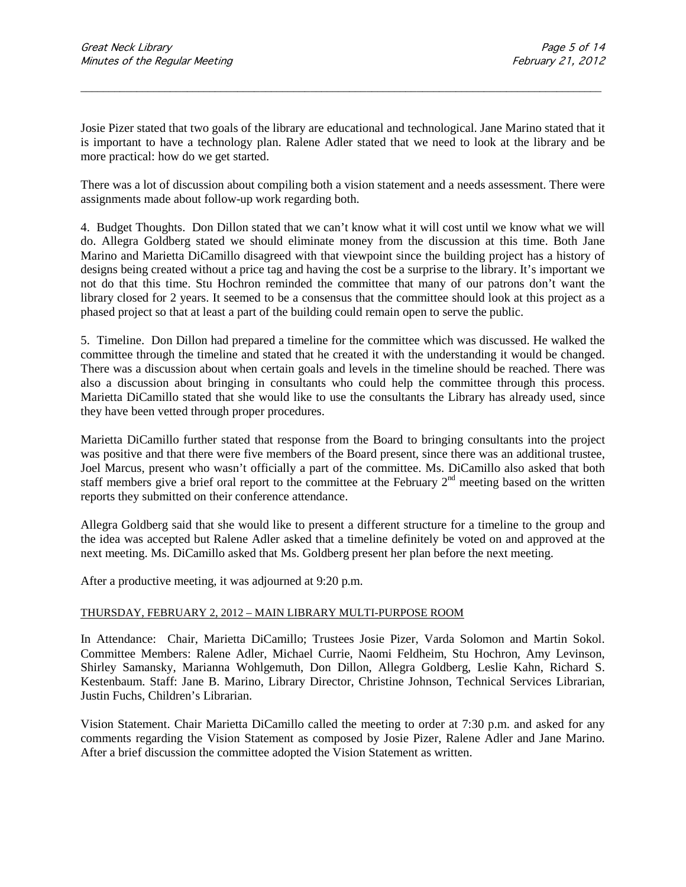Josie Pizer stated that two goals of the library are educational and technological. Jane Marino stated that it is important to have a technology plan. Ralene Adler stated that we need to look at the library and be more practical: how do we get started.

\_\_\_\_\_\_\_\_\_\_\_\_\_\_\_\_\_\_\_\_\_\_\_\_\_\_\_\_\_\_\_\_\_\_\_\_\_\_\_\_\_\_\_\_\_\_\_\_\_\_\_\_\_\_\_\_\_\_\_\_\_\_\_\_\_\_\_\_\_\_\_\_\_\_\_\_\_\_\_\_\_\_\_\_\_\_\_\_\_\_\_\_\_

There was a lot of discussion about compiling both a vision statement and a needs assessment. There were assignments made about follow-up work regarding both.

4. Budget Thoughts.Don Dillon stated that we can't know what it will cost until we know what we will do. Allegra Goldberg stated we should eliminate money from the discussion at this time. Both Jane Marino and Marietta DiCamillo disagreed with that viewpoint since the building project has a history of designs being created without a price tag and having the cost be a surprise to the library. It's important we not do that this time. Stu Hochron reminded the committee that many of our patrons don't want the library closed for 2 years. It seemed to be a consensus that the committee should look at this project as a phased project so that at least a part of the building could remain open to serve the public.

5. Timeline.Don Dillon had prepared a timeline for the committee which was discussed. He walked the committee through the timeline and stated that he created it with the understanding it would be changed. There was a discussion about when certain goals and levels in the timeline should be reached. There was also a discussion about bringing in consultants who could help the committee through this process. Marietta DiCamillo stated that she would like to use the consultants the Library has already used, since they have been vetted through proper procedures.

Marietta DiCamillo further stated that response from the Board to bringing consultants into the project was positive and that there were five members of the Board present, since there was an additional trustee, Joel Marcus, present who wasn't officially a part of the committee. Ms. DiCamillo also asked that both staff members give a brief oral report to the committee at the February  $2<sup>nd</sup>$  meeting based on the written reports they submitted on their conference attendance.

Allegra Goldberg said that she would like to present a different structure for a timeline to the group and the idea was accepted but Ralene Adler asked that a timeline definitely be voted on and approved at the next meeting. Ms. DiCamillo asked that Ms. Goldberg present her plan before the next meeting.

After a productive meeting, it was adjourned at 9:20 p.m.

#### THURSDAY, FEBRUARY 2, 2012 – MAIN LIBRARY MULTI-PURPOSE ROOM

In Attendance: Chair, Marietta DiCamillo; Trustees Josie Pizer, Varda Solomon and Martin Sokol. Committee Members: Ralene Adler, Michael Currie, Naomi Feldheim, Stu Hochron, Amy Levinson, Shirley Samansky, Marianna Wohlgemuth, Don Dillon, Allegra Goldberg, Leslie Kahn, Richard S. Kestenbaum. Staff: Jane B. Marino, Library Director, Christine Johnson, Technical Services Librarian, Justin Fuchs, Children's Librarian.

Vision Statement. Chair Marietta DiCamillo called the meeting to order at 7:30 p.m. and asked for any comments regarding the Vision Statement as composed by Josie Pizer, Ralene Adler and Jane Marino. After a brief discussion the committee adopted the Vision Statement as written.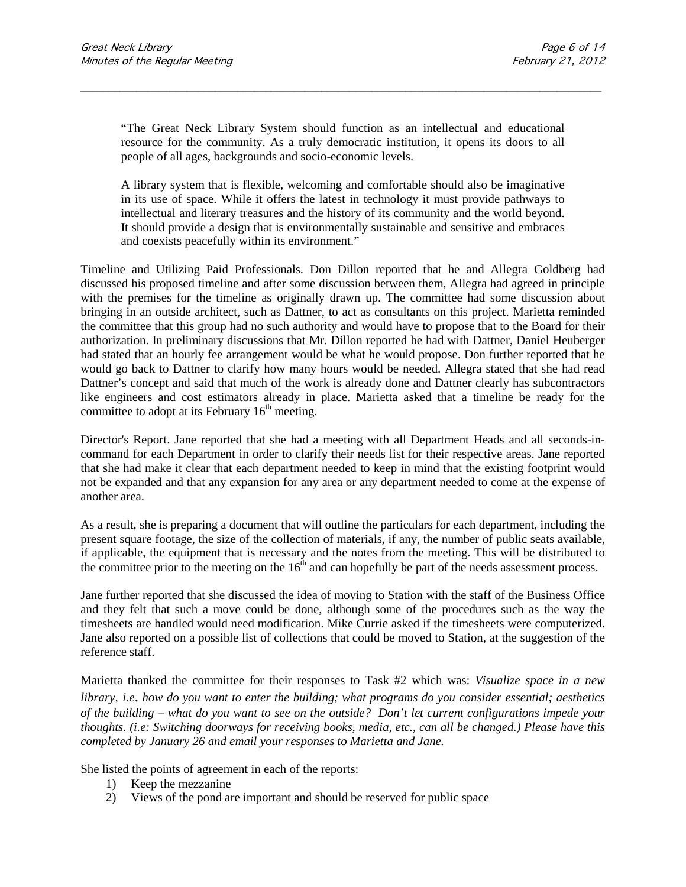"The Great Neck Library System should function as an intellectual and educational resource for the community. As a truly democratic institution, it opens its doors to all people of all ages, backgrounds and socio-economic levels.

\_\_\_\_\_\_\_\_\_\_\_\_\_\_\_\_\_\_\_\_\_\_\_\_\_\_\_\_\_\_\_\_\_\_\_\_\_\_\_\_\_\_\_\_\_\_\_\_\_\_\_\_\_\_\_\_\_\_\_\_\_\_\_\_\_\_\_\_\_\_\_\_\_\_\_\_\_\_\_\_\_\_\_\_\_\_\_\_\_\_\_\_\_

A library system that is flexible, welcoming and comfortable should also be imaginative in its use of space. While it offers the latest in technology it must provide pathways to intellectual and literary treasures and the history of its community and the world beyond. It should provide a design that is environmentally sustainable and sensitive and embraces and coexists peacefully within its environment."

Timeline and Utilizing Paid Professionals. Don Dillon reported that he and Allegra Goldberg had discussed his proposed timeline and after some discussion between them, Allegra had agreed in principle with the premises for the timeline as originally drawn up. The committee had some discussion about bringing in an outside architect, such as Dattner, to act as consultants on this project. Marietta reminded the committee that this group had no such authority and would have to propose that to the Board for their authorization. In preliminary discussions that Mr. Dillon reported he had with Dattner, Daniel Heuberger had stated that an hourly fee arrangement would be what he would propose. Don further reported that he would go back to Dattner to clarify how many hours would be needed. Allegra stated that she had read Dattner's concept and said that much of the work is already done and Dattner clearly has subcontractors like engineers and cost estimators already in place. Marietta asked that a timeline be ready for the committee to adopt at its February  $16<sup>th</sup>$  meeting.

Director's Report. Jane reported that she had a meeting with all Department Heads and all seconds-incommand for each Department in order to clarify their needs list for their respective areas. Jane reported that she had make it clear that each department needed to keep in mind that the existing footprint would not be expanded and that any expansion for any area or any department needed to come at the expense of another area.

As a result, she is preparing a document that will outline the particulars for each department, including the present square footage, the size of the collection of materials, if any, the number of public seats available, if applicable, the equipment that is necessary and the notes from the meeting. This will be distributed to the committee prior to the meeting on the  $16<sup>th</sup>$  and can hopefully be part of the needs assessment process.

Jane further reported that she discussed the idea of moving to Station with the staff of the Business Office and they felt that such a move could be done, although some of the procedures such as the way the timesheets are handled would need modification. Mike Currie asked if the timesheets were computerized. Jane also reported on a possible list of collections that could be moved to Station, at the suggestion of the reference staff.

Marietta thanked the committee for their responses to Task #2 which was: *Visualize space in a new library, i.e*. *how do you want to enter the building; what programs do you consider essential; aesthetics of the building – what do you want to see on the outside? Don't let current configurations impede your thoughts. (i.e: Switching doorways for receiving books, media, etc., can all be changed.) Please have this completed by January 26 and email your responses to Marietta and Jane.* 

She listed the points of agreement in each of the reports:

- 1) Keep the mezzanine
- 2) Views of the pond are important and should be reserved for public space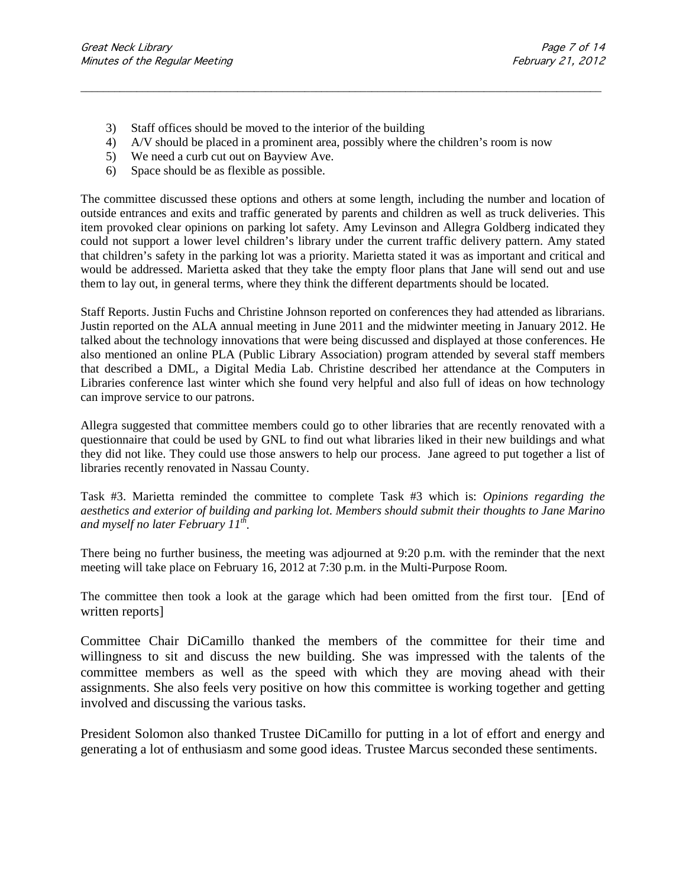- 3) Staff offices should be moved to the interior of the building
- 4) A/V should be placed in a prominent area, possibly where the children's room is now

\_\_\_\_\_\_\_\_\_\_\_\_\_\_\_\_\_\_\_\_\_\_\_\_\_\_\_\_\_\_\_\_\_\_\_\_\_\_\_\_\_\_\_\_\_\_\_\_\_\_\_\_\_\_\_\_\_\_\_\_\_\_\_\_\_\_\_\_\_\_\_\_\_\_\_\_\_\_\_\_\_\_\_\_\_\_\_\_\_\_\_\_\_

- 5) We need a curb cut out on Bayview Ave.
- 6) Space should be as flexible as possible.

The committee discussed these options and others at some length, including the number and location of outside entrances and exits and traffic generated by parents and children as well as truck deliveries. This item provoked clear opinions on parking lot safety. Amy Levinson and Allegra Goldberg indicated they could not support a lower level children's library under the current traffic delivery pattern. Amy stated that children's safety in the parking lot was a priority. Marietta stated it was as important and critical and would be addressed. Marietta asked that they take the empty floor plans that Jane will send out and use them to lay out, in general terms, where they think the different departments should be located.

Staff Reports. Justin Fuchs and Christine Johnson reported on conferences they had attended as librarians. Justin reported on the ALA annual meeting in June 2011 and the midwinter meeting in January 2012. He talked about the technology innovations that were being discussed and displayed at those conferences. He also mentioned an online PLA (Public Library Association) program attended by several staff members that described a DML, a Digital Media Lab. Christine described her attendance at the Computers in Libraries conference last winter which she found very helpful and also full of ideas on how technology can improve service to our patrons.

Allegra suggested that committee members could go to other libraries that are recently renovated with a questionnaire that could be used by GNL to find out what libraries liked in their new buildings and what they did not like. They could use those answers to help our process. Jane agreed to put together a list of libraries recently renovated in Nassau County.

Task #3. Marietta reminded the committee to complete Task #3 which is: *Opinions regarding the aesthetics and exterior of building and parking lot. Members should submit their thoughts to Jane Marino and myself no later February 11th.* 

There being no further business, the meeting was adjourned at 9:20 p.m. with the reminder that the next meeting will take place on February 16, 2012 at 7:30 p.m. in the Multi-Purpose Room.

The committee then took a look at the garage which had been omitted from the first tour. [End of written reports]

Committee Chair DiCamillo thanked the members of the committee for their time and willingness to sit and discuss the new building. She was impressed with the talents of the committee members as well as the speed with which they are moving ahead with their assignments. She also feels very positive on how this committee is working together and getting involved and discussing the various tasks.

President Solomon also thanked Trustee DiCamillo for putting in a lot of effort and energy and generating a lot of enthusiasm and some good ideas. Trustee Marcus seconded these sentiments.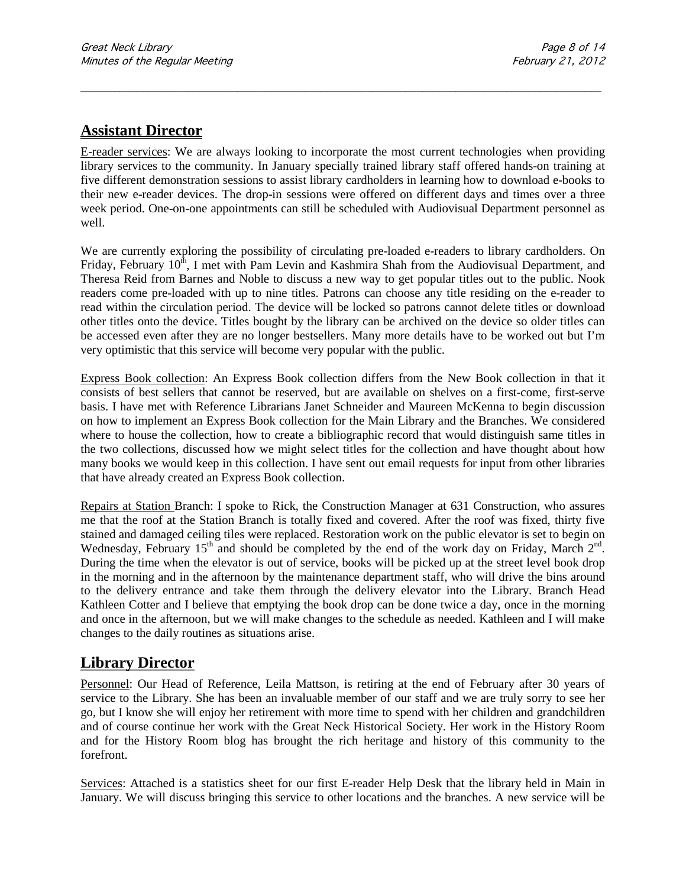## **Assistant Director**

E-reader services: We are always looking to incorporate the most current technologies when providing library services to the community. In January specially trained library staff offered hands-on training at five different demonstration sessions to assist library cardholders in learning how to download e-books to their new e-reader devices. The drop-in sessions were offered on different days and times over a three week period. One-on-one appointments can still be scheduled with Audiovisual Department personnel as well.

\_\_\_\_\_\_\_\_\_\_\_\_\_\_\_\_\_\_\_\_\_\_\_\_\_\_\_\_\_\_\_\_\_\_\_\_\_\_\_\_\_\_\_\_\_\_\_\_\_\_\_\_\_\_\_\_\_\_\_\_\_\_\_\_\_\_\_\_\_\_\_\_\_\_\_\_\_\_\_\_\_\_\_\_\_\_\_\_\_\_\_\_\_

We are currently exploring the possibility of circulating pre-loaded e-readers to library cardholders. On Friday, February  $10<sup>th</sup>$ , I met with Pam Levin and Kashmira Shah from the Audiovisual Department, and Theresa Reid from Barnes and Noble to discuss a new way to get popular titles out to the public. Nook readers come pre-loaded with up to nine titles. Patrons can choose any title residing on the e-reader to read within the circulation period. The device will be locked so patrons cannot delete titles or download other titles onto the device. Titles bought by the library can be archived on the device so older titles can be accessed even after they are no longer bestsellers. Many more details have to be worked out but I'm very optimistic that this service will become very popular with the public.

Express Book collection: An Express Book collection differs from the New Book collection in that it consists of best sellers that cannot be reserved, but are available on shelves on a first-come, first-serve basis. I have met with Reference Librarians Janet Schneider and Maureen McKenna to begin discussion on how to implement an Express Book collection for the Main Library and the Branches. We considered where to house the collection, how to create a bibliographic record that would distinguish same titles in the two collections, discussed how we might select titles for the collection and have thought about how many books we would keep in this collection. I have sent out email requests for input from other libraries that have already created an Express Book collection.

Repairs at Station Branch: I spoke to Rick, the Construction Manager at 631 Construction, who assures me that the roof at the Station Branch is totally fixed and covered. After the roof was fixed, thirty five stained and damaged ceiling tiles were replaced. Restoration work on the public elevator is set to begin on Wednesday, February  $15<sup>th</sup>$  and should be completed by the end of the work day on Friday, March  $2<sup>nd</sup>$ . During the time when the elevator is out of service, books will be picked up at the street level book drop in the morning and in the afternoon by the maintenance department staff, who will drive the bins around to the delivery entrance and take them through the delivery elevator into the Library. Branch Head Kathleen Cotter and I believe that emptying the book drop can be done twice a day, once in the morning and once in the afternoon, but we will make changes to the schedule as needed. Kathleen and I will make changes to the daily routines as situations arise.

### **Library Director**

Personnel: Our Head of Reference, Leila Mattson, is retiring at the end of February after 30 years of service to the Library. She has been an invaluable member of our staff and we are truly sorry to see her go, but I know she will enjoy her retirement with more time to spend with her children and grandchildren and of course continue her work with the Great Neck Historical Society. Her work in the History Room and for the History Room blog has brought the rich heritage and history of this community to the forefront.

Services: Attached is a statistics sheet for our first E-reader Help Desk that the library held in Main in January. We will discuss bringing this service to other locations and the branches. A new service will be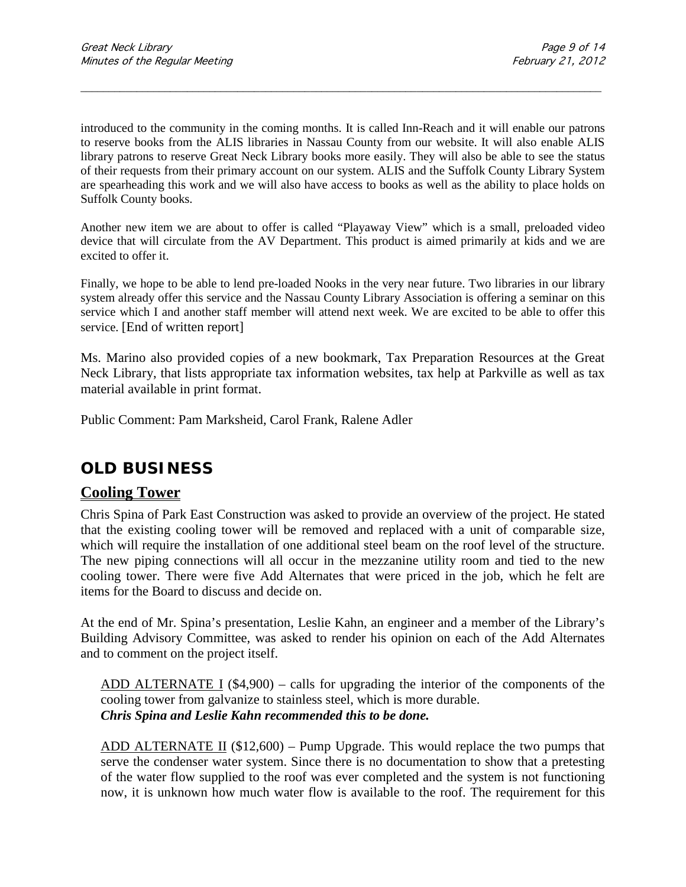introduced to the community in the coming months. It is called Inn-Reach and it will enable our patrons to reserve books from the ALIS libraries in Nassau County from our website. It will also enable ALIS library patrons to reserve Great Neck Library books more easily. They will also be able to see the status of their requests from their primary account on our system. ALIS and the Suffolk County Library System are spearheading this work and we will also have access to books as well as the ability to place holds on Suffolk County books.

\_\_\_\_\_\_\_\_\_\_\_\_\_\_\_\_\_\_\_\_\_\_\_\_\_\_\_\_\_\_\_\_\_\_\_\_\_\_\_\_\_\_\_\_\_\_\_\_\_\_\_\_\_\_\_\_\_\_\_\_\_\_\_\_\_\_\_\_\_\_\_\_\_\_\_\_\_\_\_\_\_\_\_\_\_\_\_\_\_\_\_\_\_

Another new item we are about to offer is called "Playaway View" which is a small, preloaded video device that will circulate from the AV Department. This product is aimed primarily at kids and we are excited to offer it.

Finally, we hope to be able to lend pre-loaded Nooks in the very near future. Two libraries in our library system already offer this service and the Nassau County Library Association is offering a seminar on this service which I and another staff member will attend next week. We are excited to be able to offer this service. [End of written report]

Ms. Marino also provided copies of a new bookmark, Tax Preparation Resources at the Great Neck Library, that lists appropriate tax information websites, tax help at Parkville as well as tax material available in print format.

Public Comment: Pam Marksheid, Carol Frank, Ralene Adler

## **OLD BUSINESS**

### **Cooling Tower**

Chris Spina of Park East Construction was asked to provide an overview of the project. He stated that the existing cooling tower will be removed and replaced with a unit of comparable size, which will require the installation of one additional steel beam on the roof level of the structure. The new piping connections will all occur in the mezzanine utility room and tied to the new cooling tower. There were five Add Alternates that were priced in the job, which he felt are items for the Board to discuss and decide on.

At the end of Mr. Spina's presentation, Leslie Kahn, an engineer and a member of the Library's Building Advisory Committee, was asked to render his opinion on each of the Add Alternates and to comment on the project itself.

ADD ALTERNATE I (\$4,900) – calls for upgrading the interior of the components of the cooling tower from galvanize to stainless steel, which is more durable. *Chris Spina and Leslie Kahn recommended this to be done.*

ADD ALTERNATE II (\$12,600) – Pump Upgrade. This would replace the two pumps that serve the condenser water system. Since there is no documentation to show that a pretesting of the water flow supplied to the roof was ever completed and the system is not functioning now, it is unknown how much water flow is available to the roof. The requirement for this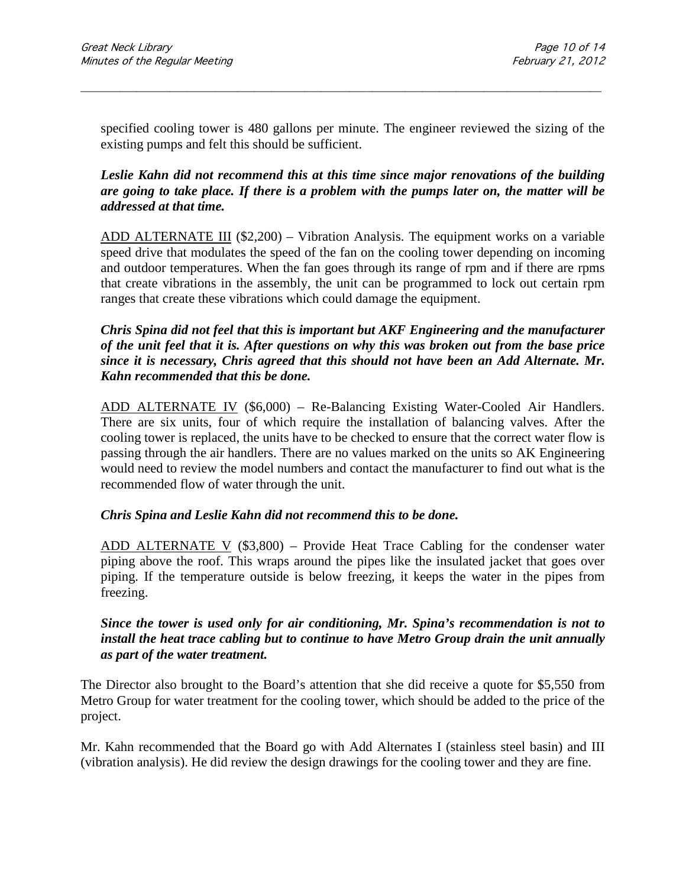specified cooling tower is 480 gallons per minute. The engineer reviewed the sizing of the existing pumps and felt this should be sufficient.

\_\_\_\_\_\_\_\_\_\_\_\_\_\_\_\_\_\_\_\_\_\_\_\_\_\_\_\_\_\_\_\_\_\_\_\_\_\_\_\_\_\_\_\_\_\_\_\_\_\_\_\_\_\_\_\_\_\_\_\_\_\_\_\_\_\_\_\_\_\_\_\_\_\_\_\_\_\_\_\_\_\_\_\_\_\_\_\_\_\_\_\_\_

#### *Leslie Kahn did not recommend this at this time since major renovations of the building are going to take place. If there is a problem with the pumps later on, the matter will be addressed at that time.*

ADD ALTERNATE III (\$2,200) – Vibration Analysis. The equipment works on a variable speed drive that modulates the speed of the fan on the cooling tower depending on incoming and outdoor temperatures. When the fan goes through its range of rpm and if there are rpms that create vibrations in the assembly, the unit can be programmed to lock out certain rpm ranges that create these vibrations which could damage the equipment.

#### *Chris Spina did not feel that this is important but AKF Engineering and the manufacturer of the unit feel that it is. After questions on why this was broken out from the base price since it is necessary, Chris agreed that this should not have been an Add Alternate. Mr. Kahn recommended that this be done.*

ADD ALTERNATE IV (\$6,000) – Re-Balancing Existing Water-Cooled Air Handlers. There are six units, four of which require the installation of balancing valves. After the cooling tower is replaced, the units have to be checked to ensure that the correct water flow is passing through the air handlers. There are no values marked on the units so AK Engineering would need to review the model numbers and contact the manufacturer to find out what is the recommended flow of water through the unit.

#### *Chris Spina and Leslie Kahn did not recommend this to be done.*

ADD ALTERNATE V (\$3,800) – Provide Heat Trace Cabling for the condenser water piping above the roof. This wraps around the pipes like the insulated jacket that goes over piping. If the temperature outside is below freezing, it keeps the water in the pipes from freezing.

#### *Since the tower is used only for air conditioning, Mr. Spina's recommendation is not to install the heat trace cabling but to continue to have Metro Group drain the unit annually as part of the water treatment.*

The Director also brought to the Board's attention that she did receive a quote for \$5,550 from Metro Group for water treatment for the cooling tower, which should be added to the price of the project.

Mr. Kahn recommended that the Board go with Add Alternates I (stainless steel basin) and III (vibration analysis). He did review the design drawings for the cooling tower and they are fine.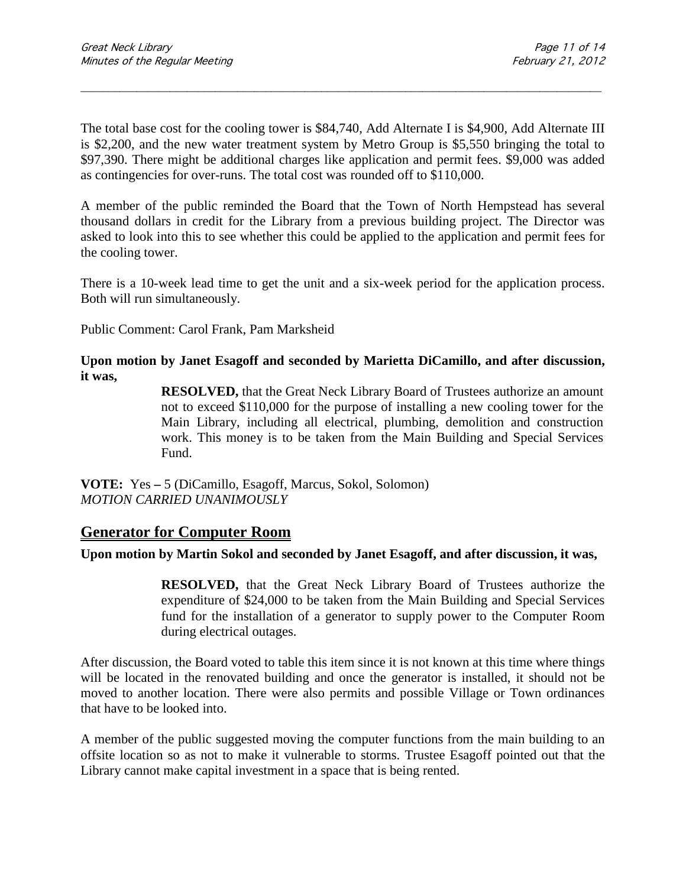The total base cost for the cooling tower is \$84,740, Add Alternate I is \$4,900, Add Alternate III is \$2,200, and the new water treatment system by Metro Group is \$5,550 bringing the total to \$97,390. There might be additional charges like application and permit fees. \$9,000 was added as contingencies for over-runs. The total cost was rounded off to \$110,000.

\_\_\_\_\_\_\_\_\_\_\_\_\_\_\_\_\_\_\_\_\_\_\_\_\_\_\_\_\_\_\_\_\_\_\_\_\_\_\_\_\_\_\_\_\_\_\_\_\_\_\_\_\_\_\_\_\_\_\_\_\_\_\_\_\_\_\_\_\_\_\_\_\_\_\_\_\_\_\_\_\_\_\_\_\_\_\_\_\_\_\_\_\_

A member of the public reminded the Board that the Town of North Hempstead has several thousand dollars in credit for the Library from a previous building project. The Director was asked to look into this to see whether this could be applied to the application and permit fees for the cooling tower.

There is a 10-week lead time to get the unit and a six-week period for the application process. Both will run simultaneously.

Public Comment: Carol Frank, Pam Marksheid

#### **Upon motion by Janet Esagoff and seconded by Marietta DiCamillo, and after discussion, it was,**

**RESOLVED,** that the Great Neck Library Board of Trustees authorize an amount not to exceed \$110,000 for the purpose of installing a new cooling tower for the Main Library, including all electrical, plumbing, demolition and construction work. This money is to be taken from the Main Building and Special Services Fund.

**VOTE:** Yes **–** 5 (DiCamillo, Esagoff, Marcus, Sokol, Solomon) *MOTION CARRIED UNANIMOUSLY*

#### **Generator for Computer Room**

#### **Upon motion by Martin Sokol and seconded by Janet Esagoff, and after discussion, it was,**

**RESOLVED,** that the Great Neck Library Board of Trustees authorize the expenditure of \$24,000 to be taken from the Main Building and Special Services fund for the installation of a generator to supply power to the Computer Room during electrical outages.

After discussion, the Board voted to table this item since it is not known at this time where things will be located in the renovated building and once the generator is installed, it should not be moved to another location. There were also permits and possible Village or Town ordinances that have to be looked into.

A member of the public suggested moving the computer functions from the main building to an offsite location so as not to make it vulnerable to storms. Trustee Esagoff pointed out that the Library cannot make capital investment in a space that is being rented.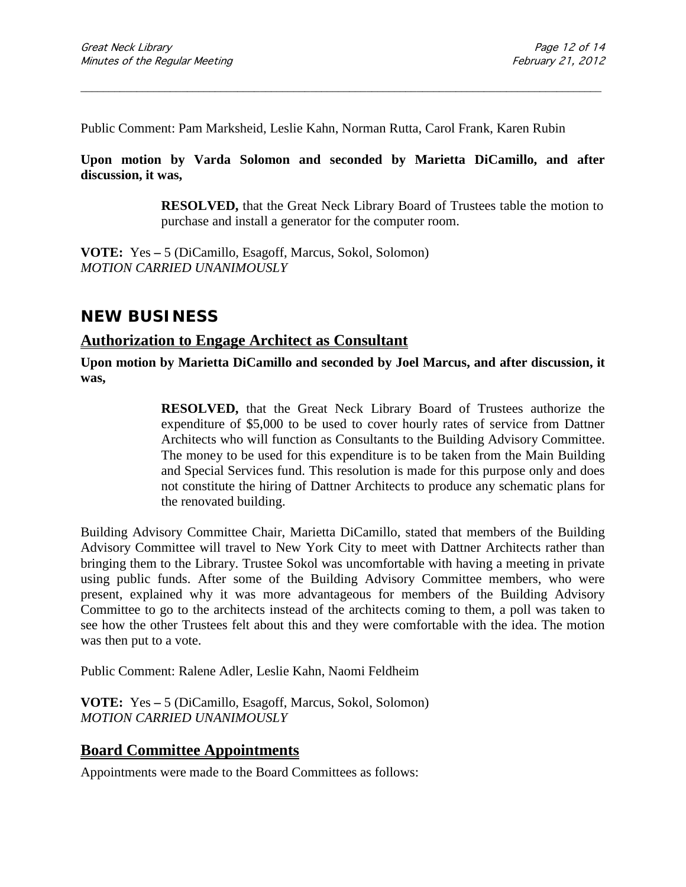Public Comment: Pam Marksheid, Leslie Kahn, Norman Rutta, Carol Frank, Karen Rubin

**Upon motion by Varda Solomon and seconded by Marietta DiCamillo, and after discussion, it was,**

\_\_\_\_\_\_\_\_\_\_\_\_\_\_\_\_\_\_\_\_\_\_\_\_\_\_\_\_\_\_\_\_\_\_\_\_\_\_\_\_\_\_\_\_\_\_\_\_\_\_\_\_\_\_\_\_\_\_\_\_\_\_\_\_\_\_\_\_\_\_\_\_\_\_\_\_\_\_\_\_\_\_\_\_\_\_\_\_\_\_\_\_\_

**RESOLVED,** that the Great Neck Library Board of Trustees table the motion to purchase and install a generator for the computer room.

**VOTE:** Yes **–** 5 (DiCamillo, Esagoff, Marcus, Sokol, Solomon) *MOTION CARRIED UNANIMOUSLY*

## **NEW BUSINESS**

## **Authorization to Engage Architect as Consultant**

**Upon motion by Marietta DiCamillo and seconded by Joel Marcus, and after discussion, it was,**

> **RESOLVED,** that the Great Neck Library Board of Trustees authorize the expenditure of \$5,000 to be used to cover hourly rates of service from Dattner Architects who will function as Consultants to the Building Advisory Committee. The money to be used for this expenditure is to be taken from the Main Building and Special Services fund. This resolution is made for this purpose only and does not constitute the hiring of Dattner Architects to produce any schematic plans for the renovated building.

Building Advisory Committee Chair, Marietta DiCamillo, stated that members of the Building Advisory Committee will travel to New York City to meet with Dattner Architects rather than bringing them to the Library. Trustee Sokol was uncomfortable with having a meeting in private using public funds. After some of the Building Advisory Committee members, who were present, explained why it was more advantageous for members of the Building Advisory Committee to go to the architects instead of the architects coming to them, a poll was taken to see how the other Trustees felt about this and they were comfortable with the idea. The motion was then put to a vote.

Public Comment: Ralene Adler, Leslie Kahn, Naomi Feldheim

**VOTE:** Yes **–** 5 (DiCamillo, Esagoff, Marcus, Sokol, Solomon) *MOTION CARRIED UNANIMOUSLY*

#### **Board Committee Appointments**

Appointments were made to the Board Committees as follows: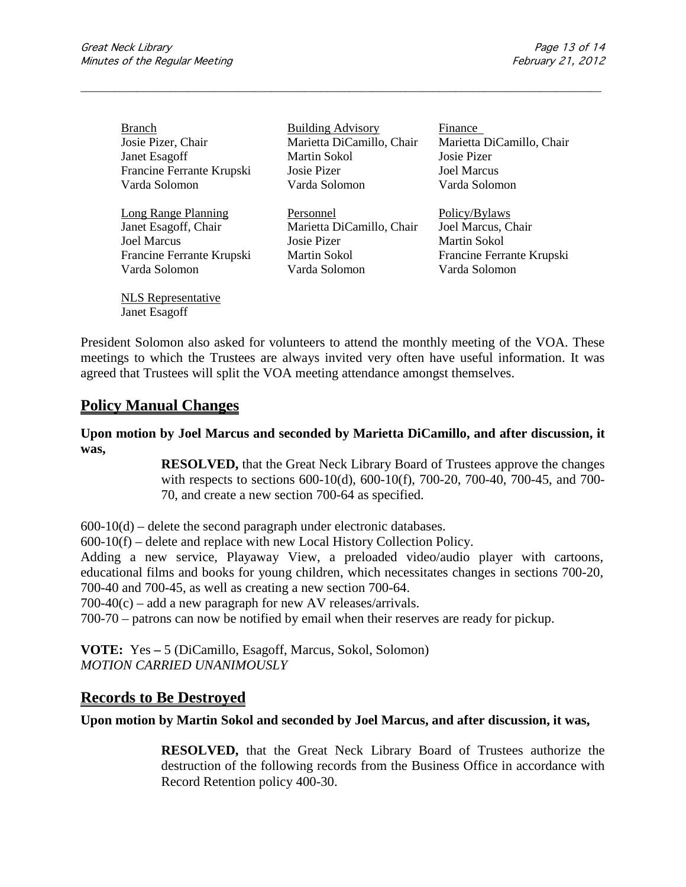| <b>Branch</b>              | <b>Building Advisory</b>  | Finance                   |
|----------------------------|---------------------------|---------------------------|
| Josie Pizer, Chair         | Marietta DiCamillo, Chair | Marietta DiCamillo, Chair |
| Janet Esagoff              | Martin Sokol              | Josie Pizer               |
| Francine Ferrante Krupski  | Josie Pizer               | <b>Joel Marcus</b>        |
| Varda Solomon              | Varda Solomon             | Varda Solomon             |
| <b>Long Range Planning</b> | Personnel                 | Policy/Bylaws             |
| Janet Esagoff, Chair       | Marietta DiCamillo, Chair | Joel Marcus, Chair        |
| <b>Joel Marcus</b>         | Josie Pizer               | <b>Martin Sokol</b>       |
| Francine Ferrante Krupski  | Martin Sokol              | Francine Ferrante Krupski |
| Varda Solomon              | Varda Solomon             | Varda Solomon             |

\_\_\_\_\_\_\_\_\_\_\_\_\_\_\_\_\_\_\_\_\_\_\_\_\_\_\_\_\_\_\_\_\_\_\_\_\_\_\_\_\_\_\_\_\_\_\_\_\_\_\_\_\_\_\_\_\_\_\_\_\_\_\_\_\_\_\_\_\_\_\_\_\_\_\_\_\_\_\_\_\_\_\_\_\_\_\_\_\_\_\_\_\_

President Solomon also asked for volunteers to attend the monthly meeting of the VOA. These meetings to which the Trustees are always invited very often have useful information. It was agreed that Trustees will split the VOA meeting attendance amongst themselves.

### **Policy Manual Changes**

NLS Representative Janet Esagoff

**Upon motion by Joel Marcus and seconded by Marietta DiCamillo, and after discussion, it was,**

> **RESOLVED,** that the Great Neck Library Board of Trustees approve the changes with respects to sections 600-10(d), 600-10(f), 700-20, 700-40, 700-45, and 700- 70, and create a new section 700-64 as specified.

 $600-10(d)$  – delete the second paragraph under electronic databases.

600-10(f) – delete and replace with new Local History Collection Policy.

Adding a new service, Playaway View, a preloaded video/audio player with cartoons, educational films and books for young children, which necessitates changes in sections 700-20, 700-40 and 700-45, as well as creating a new section 700-64.

 $700-40(c)$  – add a new paragraph for new AV releases/arrivals.

700-70 – patrons can now be notified by email when their reserves are ready for pickup.

**VOTE:** Yes **–** 5 (DiCamillo, Esagoff, Marcus, Sokol, Solomon) *MOTION CARRIED UNANIMOUSLY*

### **Records to Be Destroyed**

**Upon motion by Martin Sokol and seconded by Joel Marcus, and after discussion, it was,**

**RESOLVED,** that the Great Neck Library Board of Trustees authorize the destruction of the following records from the Business Office in accordance with Record Retention policy 400-30.